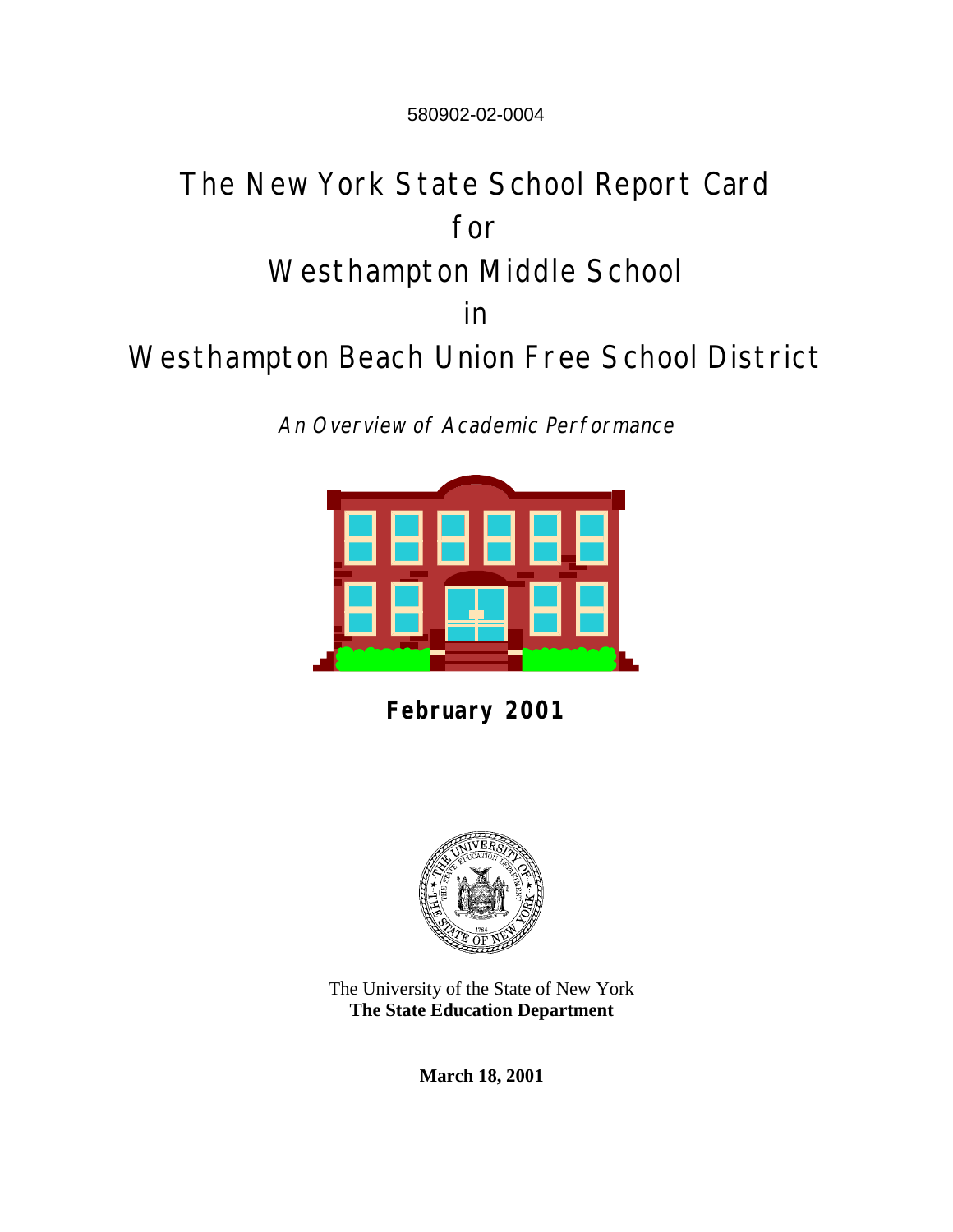580902-02-0004

# The New York State School Report Card for Westhampton Middle School in Westhampton Beach Union Free School District

An Overview of Academic Performance



**February 2001**



The University of the State of New York **The State Education Department**

**March 18, 2001**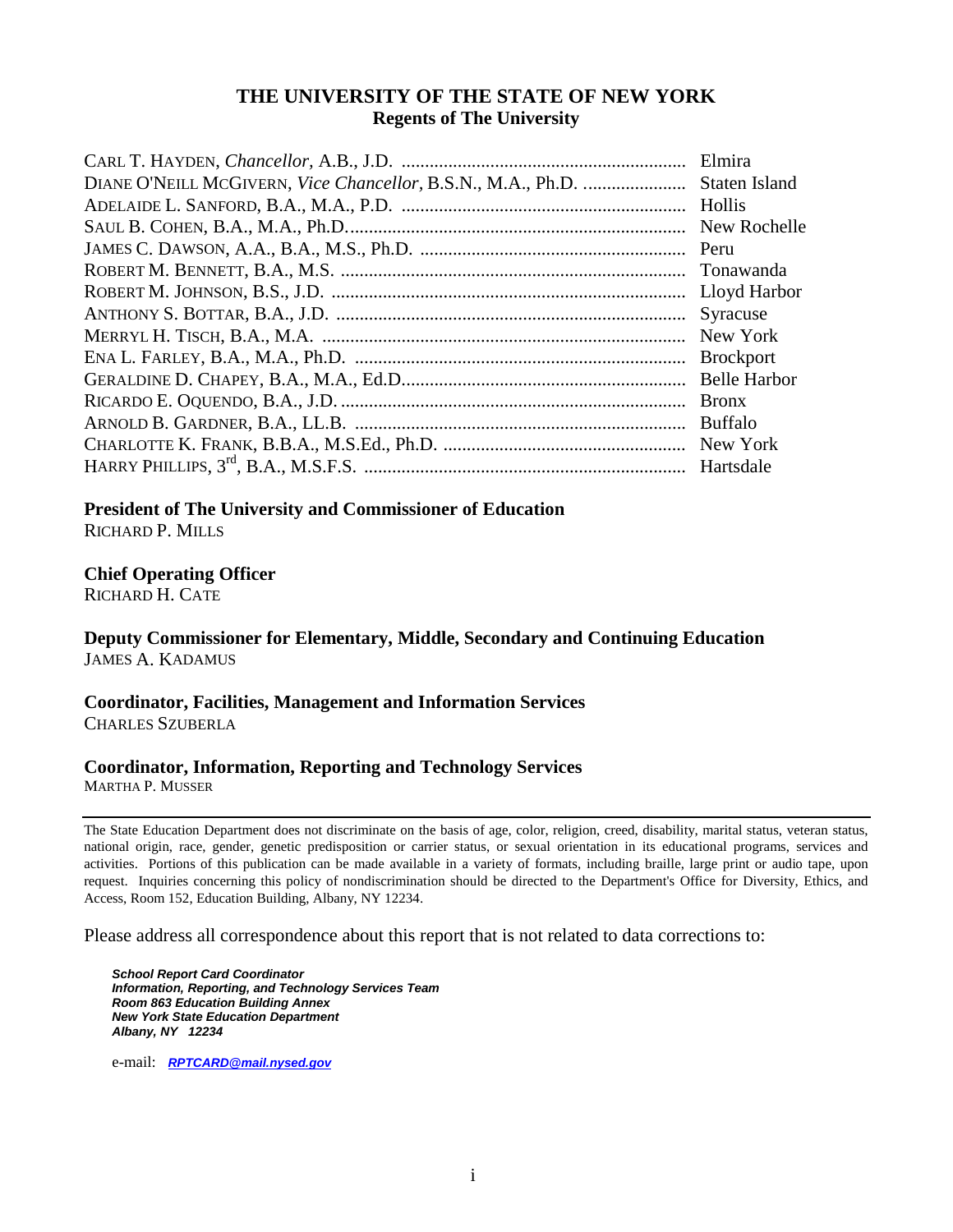#### **THE UNIVERSITY OF THE STATE OF NEW YORK Regents of The University**

|                                                              | Elmira              |
|--------------------------------------------------------------|---------------------|
| DIANE O'NEILL MCGIVERN, Vice Chancellor, B.S.N., M.A., Ph.D. | Staten Island       |
|                                                              |                     |
|                                                              | New Rochelle        |
|                                                              | Peru                |
|                                                              | Tonawanda           |
|                                                              |                     |
|                                                              | Syracuse            |
|                                                              | New York            |
|                                                              | <b>Brockport</b>    |
|                                                              | <b>Belle Harbor</b> |
|                                                              | <b>Bronx</b>        |
|                                                              |                     |
|                                                              |                     |
|                                                              |                     |
|                                                              |                     |

**President of The University and Commissioner of Education**

RICHARD P. MILLS

#### **Chief Operating Officer**

RICHARD H. CATE

#### **Deputy Commissioner for Elementary, Middle, Secondary and Continuing Education** JAMES A. KADAMUS

#### **Coordinator, Facilities, Management and Information Services** CHARLES SZUBERLA

### **Coordinator, Information, Reporting and Technology Services**

MARTHA P. MUSSER

The State Education Department does not discriminate on the basis of age, color, religion, creed, disability, marital status, veteran status, national origin, race, gender, genetic predisposition or carrier status, or sexual orientation in its educational programs, services and activities. Portions of this publication can be made available in a variety of formats, including braille, large print or audio tape, upon request. Inquiries concerning this policy of nondiscrimination should be directed to the Department's Office for Diversity, Ethics, and Access, Room 152, Education Building, Albany, NY 12234.

Please address all correspondence about this report that is not related to data corrections to:

*School Report Card Coordinator Information, Reporting, and Technology Services Team Room 863 Education Building Annex New York State Education Department Albany, NY 12234*

e-mail: *[RPTCARD@mail.nysed.gov](mailto:RPTCARD@mail.nysed.gov)*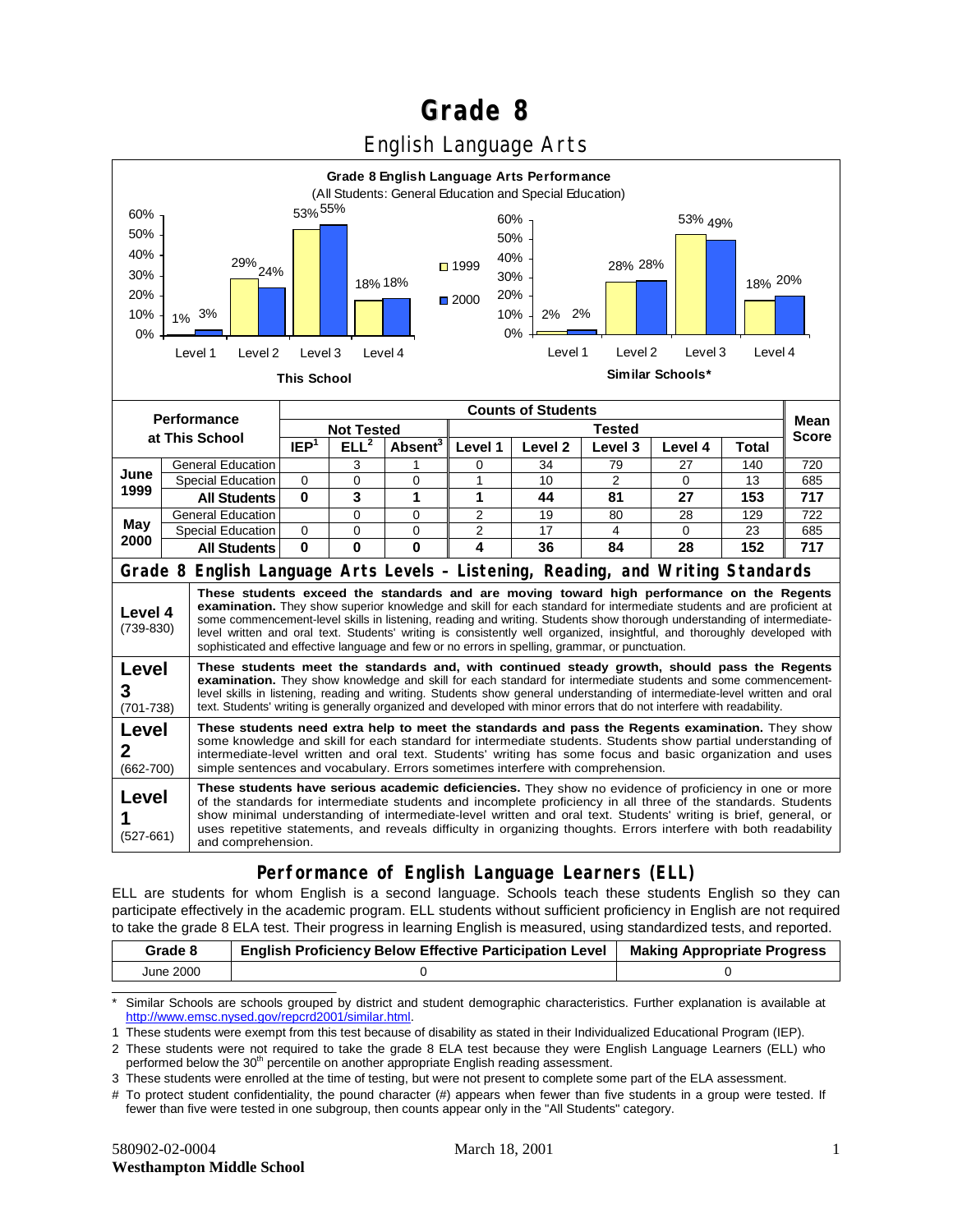# **Grade 8**

### English Language Arts



#### **Performance of English Language Learners (ELL)**

ELL are students for whom English is a second language. Schools teach these students English so they can participate effectively in the academic program. ELL students without sufficient proficiency in English are not required to take the grade 8 ELA test. Their progress in learning English is measured, using standardized tests, and reported.

| Grade 8   | <b>English Proficiency Below Effective Participation Level</b> | <b>Making Appropriate Progress</b> |
|-----------|----------------------------------------------------------------|------------------------------------|
| June 2000 |                                                                |                                    |

\* Similar Schools are schools grouped by district and student demographic characteristics. Further explanation is available at [http://www.emsc.nysed.gov/repcrd2001/similar.html.](http://www.emsc.nysed.gov/repcrd2001/similar.html)

1 These students were exempt from this test because of disability as stated in their Individualized Educational Program (IEP).

2 These students were not required to take the grade 8 ELA test because they were English Language Learners (ELL) who performed below the 30<sup>th</sup> percentile on another appropriate English reading assessment.

3 These students were enrolled at the time of testing, but were not present to complete some part of the ELA assessment.

# To protect student confidentiality, the pound character (#) appears when fewer than five students in a group were tested. If fewer than five were tested in one subgroup, then counts appear only in the "All Students" category.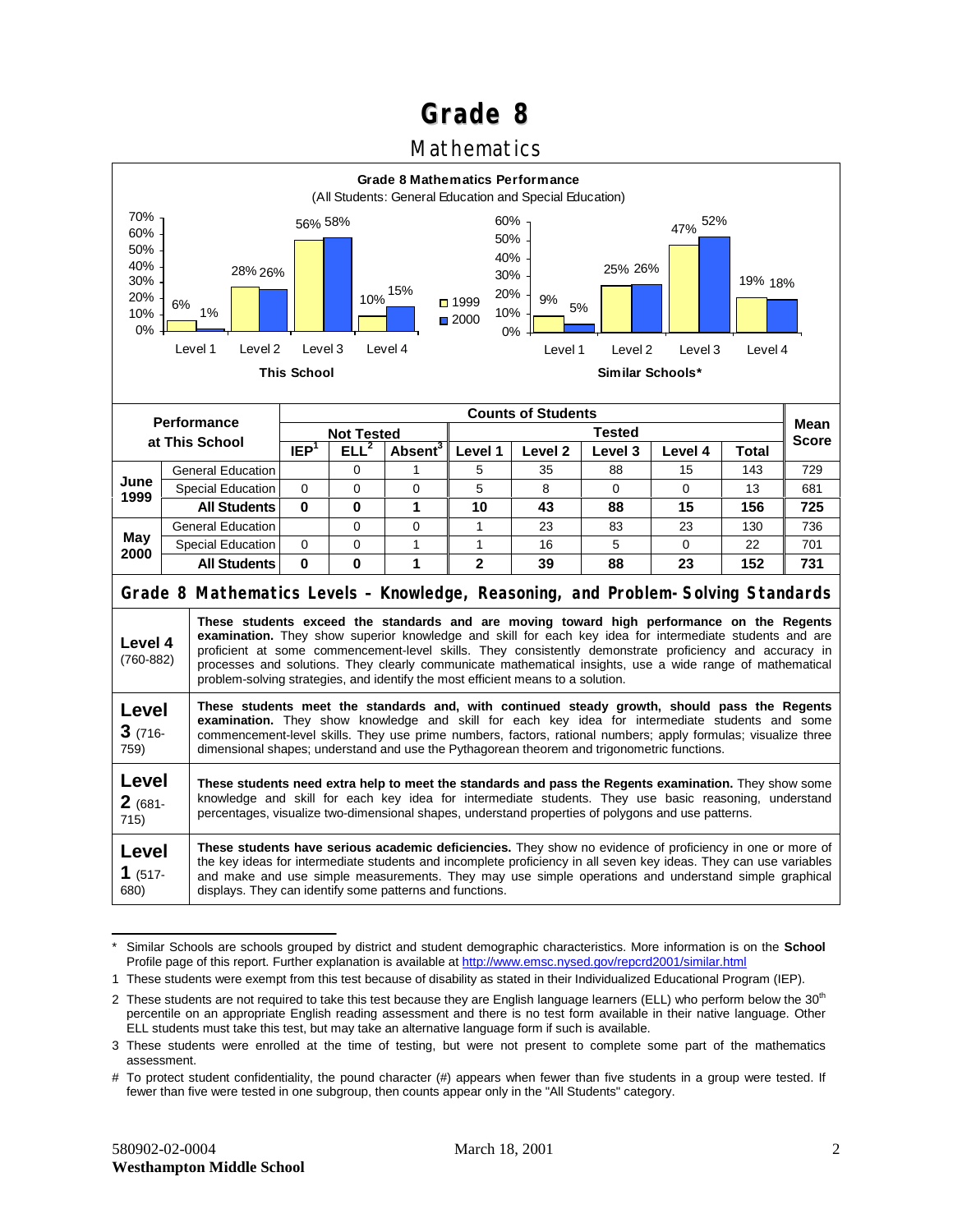## **Grade 8**

### Mathematics



<sup>\*</sup> Similar Schools are schools grouped by district and student demographic characteristics. More information is on the **School** Profile page of this report. Further explanation is available at <http://www.emsc.nysed.gov/repcrd2001/similar.html>

<sup>1</sup> These students were exempt from this test because of disability as stated in their Individualized Educational Program (IEP).

<sup>2</sup> These students are not required to take this test because they are English language learners (ELL) who perform below the 30<sup>th</sup> percentile on an appropriate English reading assessment and there is no test form available in their native language. Other ELL students must take this test, but may take an alternative language form if such is available.

<sup>3</sup> These students were enrolled at the time of testing, but were not present to complete some part of the mathematics assessment.

<sup>#</sup> To protect student confidentiality, the pound character (#) appears when fewer than five students in a group were tested. If fewer than five were tested in one subgroup, then counts appear only in the "All Students" category.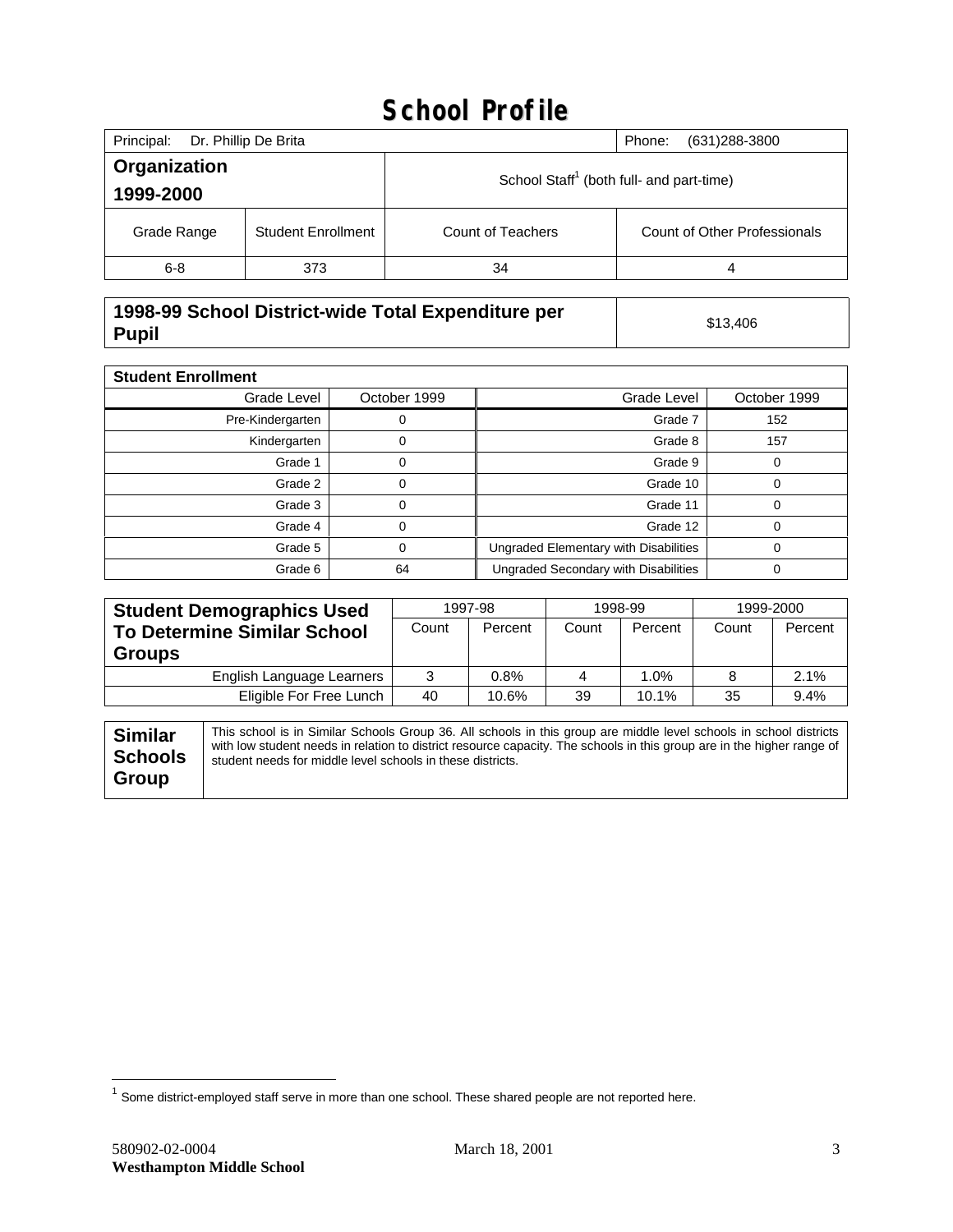# **School Profile**

| Principal:   | Dr. Phillip De Brita      |                                                      | (631) 288-3800<br>Phone:     |  |  |
|--------------|---------------------------|------------------------------------------------------|------------------------------|--|--|
| Organization |                           | School Staff <sup>1</sup> (both full- and part-time) |                              |  |  |
| 1999-2000    |                           |                                                      |                              |  |  |
| Grade Range  | <b>Student Enrollment</b> | <b>Count of Teachers</b>                             | Count of Other Professionals |  |  |
| $6 - 8$      | 373                       | 34                                                   | 4                            |  |  |

#### **1998-99 School District-wide Total Expenditure per Pupil** \$13,406<br>**Pupil** \$13,406

| <b>Student Enrollment</b> |              |                                       |              |
|---------------------------|--------------|---------------------------------------|--------------|
| Grade Level               | October 1999 | Grade Level                           | October 1999 |
| Pre-Kindergarten          |              | Grade 7                               | 152          |
| Kindergarten              | 0            | Grade 8                               | 157          |
| Grade 1                   | 0            | Grade 9                               | 0            |
| Grade 2                   | 0            | Grade 10                              | 0            |
| Grade 3                   |              | Grade 11                              | $\Omega$     |
| Grade 4                   | 0            | Grade 12                              | $\Omega$     |
| Grade 5                   | 0            | Ungraded Elementary with Disabilities | $\Omega$     |
| Grade 6                   | 64           | Ungraded Secondary with Disabilities  | 0            |

| <b>Student Demographics Used</b>   | 1997-98 |         | 1998-99 |         | 1999-2000 |         |
|------------------------------------|---------|---------|---------|---------|-----------|---------|
| <b>To Determine Similar School</b> | Count   | Percent | Count   | Percent | Count     | Percent |
| <b>Groups</b>                      |         |         |         |         |           |         |
| English Language Learners          | 3       | 0.8%    | 4       | 1.0%    |           | 2.1%    |
| Eligible For Free Lunch            | 40      | 10.6%   | 39      | 10.1%   | 35        | 9.4%    |

 $\overline{a}$ 

 $^1$  Some district-employed staff serve in more than one school. These shared people are not reported here.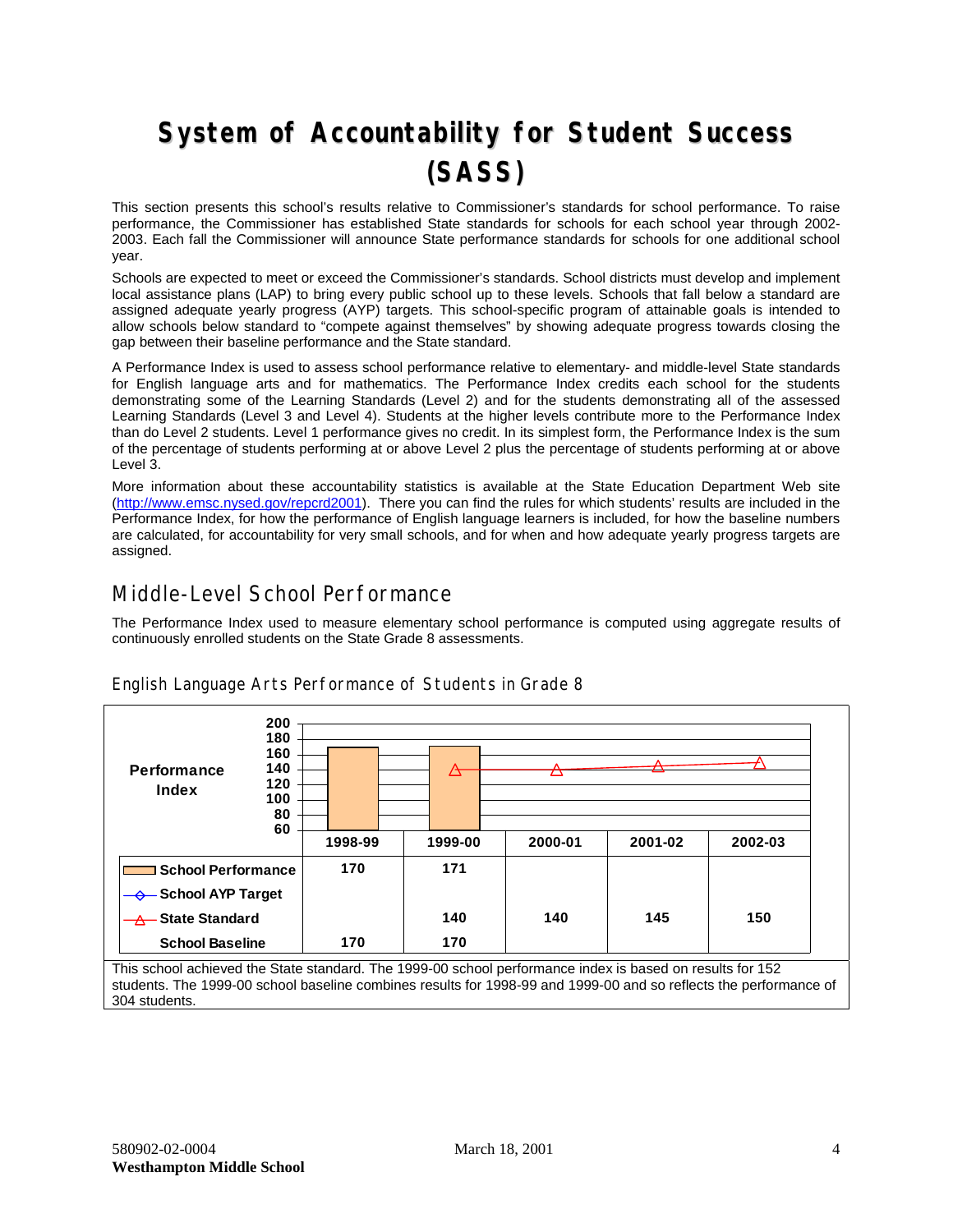# **System of Accountability for Student Success (SASS)**

This section presents this school's results relative to Commissioner's standards for school performance. To raise performance, the Commissioner has established State standards for schools for each school year through 2002- 2003. Each fall the Commissioner will announce State performance standards for schools for one additional school year.

Schools are expected to meet or exceed the Commissioner's standards. School districts must develop and implement local assistance plans (LAP) to bring every public school up to these levels. Schools that fall below a standard are assigned adequate yearly progress (AYP) targets. This school-specific program of attainable goals is intended to allow schools below standard to "compete against themselves" by showing adequate progress towards closing the gap between their baseline performance and the State standard.

A Performance Index is used to assess school performance relative to elementary- and middle-level State standards for English language arts and for mathematics. The Performance Index credits each school for the students demonstrating some of the Learning Standards (Level 2) and for the students demonstrating all of the assessed Learning Standards (Level 3 and Level 4). Students at the higher levels contribute more to the Performance Index than do Level 2 students. Level 1 performance gives no credit. In its simplest form, the Performance Index is the sum of the percentage of students performing at or above Level 2 plus the percentage of students performing at or above Level 3.

More information about these accountability statistics is available at the State Education Department Web site ([http://www.emsc.nysed.gov/repcrd2001\)](http://www.emsc.nysed.gov/repcrd2001). There you can find the rules for which students' results are included in the Performance Index, for how the performance of English language learners is included, for how the baseline numbers are calculated, for accountability for very small schools, and for when and how adequate yearly progress targets are assigned.

### Middle-Level School Performance

The Performance Index used to measure elementary school performance is computed using aggregate results of continuously enrolled students on the State Grade 8 assessments.

| Performance<br><b>Index</b> | 200<br>180<br>160<br>140<br>120<br>100<br>80<br>60 |         | ∆       |         |         |         |
|-----------------------------|----------------------------------------------------|---------|---------|---------|---------|---------|
|                             |                                                    | 1998-99 | 1999-00 | 2000-01 | 2001-02 | 2002-03 |
| <b>School Performance</b>   |                                                    | 170     | 171     |         |         |         |
| <b>← School AYP Target</b>  |                                                    |         |         |         |         |         |
| A State Standard            |                                                    |         | 140     | 140     | 145     | 150     |
| <b>School Baseline</b>      |                                                    | 170     | 170     |         |         |         |

English Language Arts Performance of Students in Grade 8

This school achieved the State standard. The 1999-00 school performance index is based on results for 152 students. The 1999-00 school baseline combines results for 1998-99 and 1999-00 and so reflects the performance of 304 students.